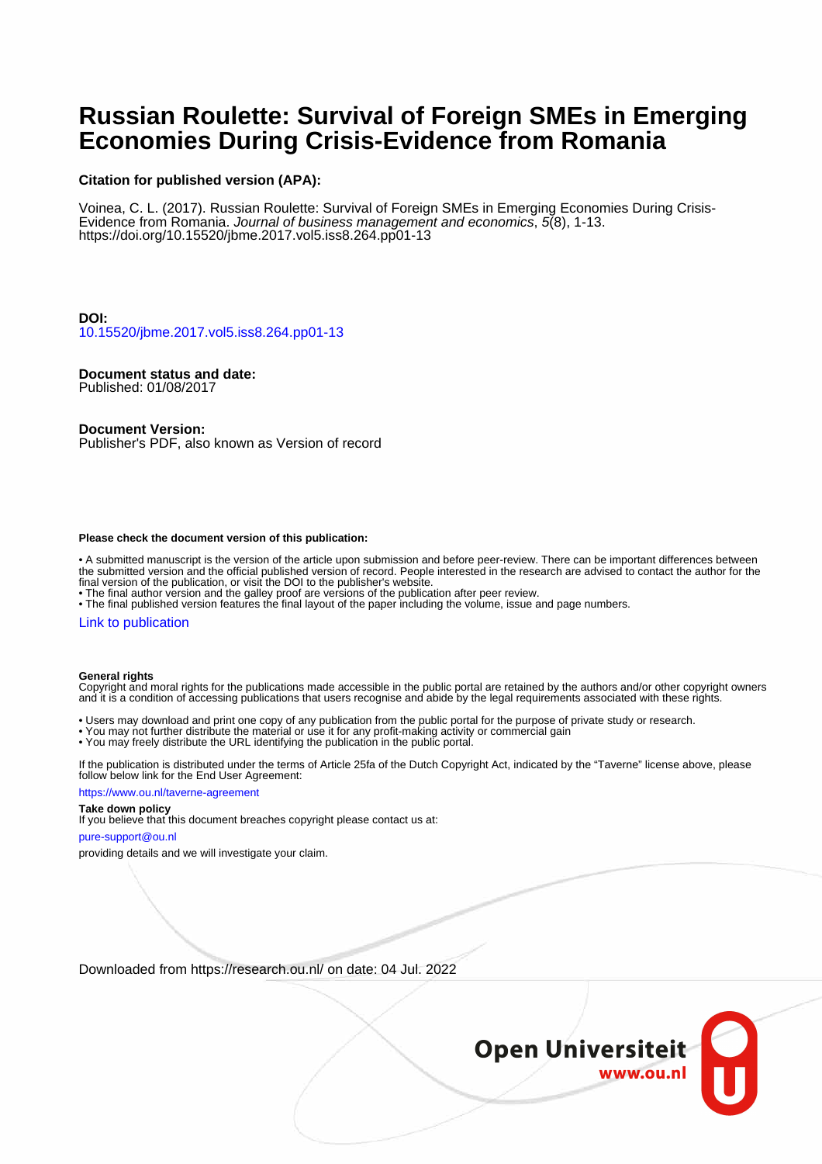# **Russian Roulette: Survival of Foreign SMEs in Emerging Economies During Crisis-Evidence from Romania**

### **Citation for published version (APA):**

Voinea, C. L. (2017). Russian Roulette: Survival of Foreign SMEs in Emerging Economies During Crisis-Evidence from Romania. Journal of business management and economics, 5(8), 1-13. <https://doi.org/10.15520/jbme.2017.vol5.iss8.264.pp01-13>

### **DOI:**

[10.15520/jbme.2017.vol5.iss8.264.pp01-13](https://doi.org/10.15520/jbme.2017.vol5.iss8.264.pp01-13)

### **Document status and date:**

Published: 01/08/2017

### **Document Version:**

Publisher's PDF, also known as Version of record

#### **Please check the document version of this publication:**

• A submitted manuscript is the version of the article upon submission and before peer-review. There can be important differences between the submitted version and the official published version of record. People interested in the research are advised to contact the author for the final version of the publication, or visit the DOI to the publisher's website.

• The final author version and the galley proof are versions of the publication after peer review.

• The final published version features the final layout of the paper including the volume, issue and page numbers.

#### [Link to publication](https://research.ou.nl/en/publications/9d5f5bef-73b4-4055-8602-9cd58aa16fd7)

#### **General rights**

Copyright and moral rights for the publications made accessible in the public portal are retained by the authors and/or other copyright owners and it is a condition of accessing publications that users recognise and abide by the legal requirements associated with these rights.

- Users may download and print one copy of any publication from the public portal for the purpose of private study or research.
- You may not further distribute the material or use it for any profit-making activity or commercial gain
- You may freely distribute the URL identifying the publication in the public portal.

If the publication is distributed under the terms of Article 25fa of the Dutch Copyright Act, indicated by the "Taverne" license above, please follow below link for the End User Agreement:

#### https://www.ou.nl/taverne-agreement

### **Take down policy**

If you believe that this document breaches copyright please contact us at:

#### pure-support@ou.nl

providing details and we will investigate your claim.

Downloaded from https://research.ou.nl/ on date: 04 Jul. 2022

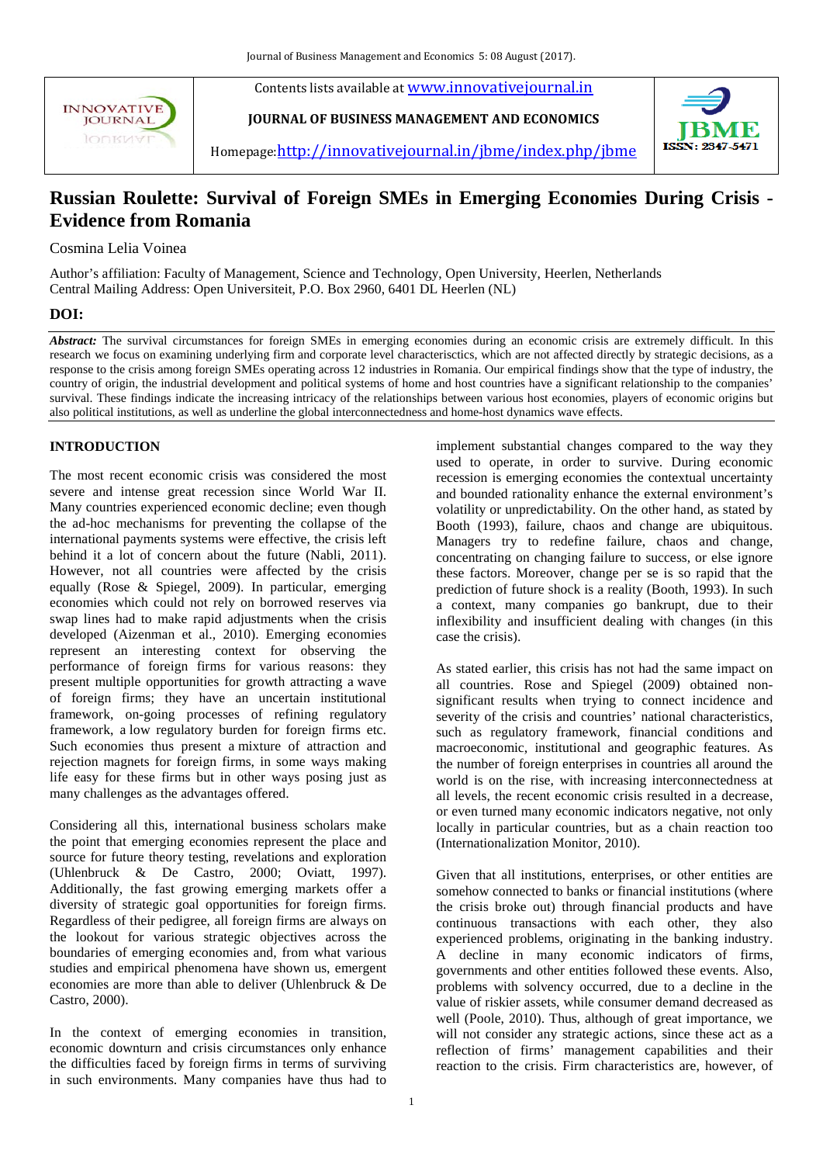**INNOVATIVE JOURNAL IODKIA** 



**[JOURNAL OF BUSINESS MANAGEMENT AND ECONOMICS](http://innovativejournal.in/index.php/jbme)**



Homepage: http://innovativejournal.in/jbme/index.php/jbme

## **Russian Roulette: Survival of Foreign SMEs in Emerging Economies During Crisis - Evidence from Romania**

Cosmina Lelia Voinea

Author's affiliation: Faculty of Management, Science and Technology, Open University, Heerlen, Netherlands Central Mailing Address: Open Universiteit, P.O. Box 2960, 6401 DL Heerlen (NL)

### **DOI:**

*Abstract:* The survival circumstances for foreign SMEs in emerging economies during an economic crisis are extremely difficult. In this research we focus on examining underlying firm and corporate level characterisctics, which are not affected directly by strategic decisions, as a response to the crisis among foreign SMEs operating across 12 industries in Romania. Our empirical findings show that the type of industry, the country of origin, the industrial development and political systems of home and host countries have a significant relationship to the companies' survival. These findings indicate the increasing intricacy of the relationships between various host economies, players of economic origins but also political institutions, as well as underline the global interconnectedness and home-host dynamics wave effects.

### **INTRODUCTION**

The most recent economic crisis was considered the most severe and intense great recession since World War II. Many countries experienced economic decline; even though the ad-hoc mechanisms for preventing the collapse of the international payments systems were effective, the crisis left behind it a lot of concern about the future (Nabli, 2011). However, not all countries were affected by the crisis equally (Rose & Spiegel, 2009). In particular, emerging economies which could not rely on borrowed reserves via swap lines had to make rapid adjustments when the crisis developed (Aizenman et al., 2010). Emerging economies represent an interesting context for observing the performance of foreign firms for various reasons: they present multiple opportunities for growth attracting a wave of foreign firms; they have an uncertain institutional framework, on-going processes of refining regulatory framework, a low regulatory burden for foreign firms etc. Such economies thus present a mixture of attraction and rejection magnets for foreign firms, in some ways making life easy for these firms but in other ways posing just as many challenges as the advantages offered.

Considering all this, international business scholars make the point that emerging economies represent the place and source for future theory testing, revelations and exploration (Uhlenbruck & De Castro, 2000; Oviatt, 1997). Additionally, the fast growing emerging markets offer a diversity of strategic goal opportunities for foreign firms. Regardless of their pedigree, all foreign firms are always on the lookout for various strategic objectives across the boundaries of emerging economies and, from what various studies and empirical phenomena have shown us, emergent economies are more than able to deliver (Uhlenbruck & De Castro, 2000).

In the context of emerging economies in transition, economic downturn and crisis circumstances only enhance the difficulties faced by foreign firms in terms of surviving in such environments. Many companies have thus had to

implement substantial changes compared to the way they used to operate, in order to survive. During economic recession is emerging economies the contextual uncertainty and bounded rationality enhance the external environment's volatility or unpredictability. On the other hand, as stated by Booth (1993), failure, chaos and change are ubiquitous. Managers try to redefine failure, chaos and change, concentrating on changing failure to success, or else ignore these factors. Moreover, change per se is so rapid that the prediction of future shock is a reality (Booth, 1993). In such a context, many companies go bankrupt, due to their inflexibility and insufficient dealing with changes (in this case the crisis).

As stated earlier, this crisis has not had the same impact on all countries. Rose and Spiegel (2009) obtained nonsignificant results when trying to connect incidence and severity of the crisis and countries' national characteristics, such as regulatory framework, financial conditions and macroeconomic, institutional and geographic features. As the number of foreign enterprises in countries all around the world is on the rise, with increasing interconnectedness at all levels, the recent economic crisis resulted in a decrease, or even turned many economic indicators negative, not only locally in particular countries, but as a chain reaction too (Internationalization Monitor, 2010).

Given that all institutions, enterprises, or other entities are somehow connected to banks or financial institutions (where the crisis broke out) through financial products and have continuous transactions with each other, they also experienced problems, originating in the banking industry. A decline in many economic indicators of firms, governments and other entities followed these events. Also, problems with solvency occurred, due to a decline in the value of riskier assets, while consumer demand decreased as well (Poole, 2010). Thus, although of great importance, we will not consider any strategic actions, since these act as a reflection of firms' management capabilities and their reaction to the crisis. Firm characteristics are, however, of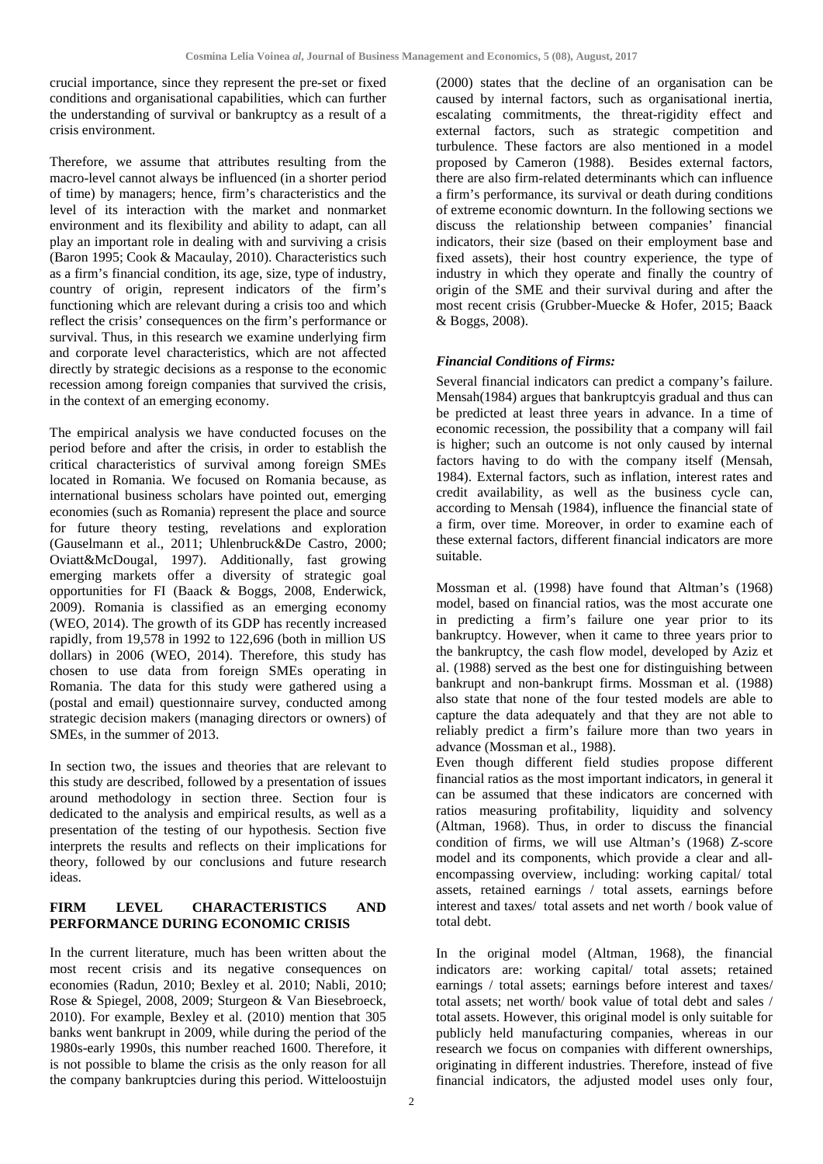crucial importance, since they represent the pre-set or fixed conditions and organisational capabilities, which can further the understanding of survival or bankruptcy as a result of a crisis environment.

Therefore, we assume that attributes resulting from the macro-level cannot always be influenced (in a shorter period of time) by managers; hence, firm's characteristics and the level of its interaction with the market and nonmarket environment and its flexibility and ability to adapt, can all play an important role in dealing with and surviving a crisis (Baron 1995; Cook & Macaulay, 2010). Characteristics such as a firm's financial condition, its age, size, type of industry, country of origin, represent indicators of the firm's functioning which are relevant during a crisis too and which reflect the crisis' consequences on the firm's performance or survival. Thus, in this research we examine underlying firm and corporate level characteristics, which are not affected directly by strategic decisions as a response to the economic recession among foreign companies that survived the crisis, in the context of an emerging economy.

The empirical analysis we have conducted focuses on the period before and after the crisis, in order to establish the critical characteristics of survival among foreign SMEs located in Romania. We focused on Romania because, as international business scholars have pointed out, emerging economies (such as Romania) represent the place and source for future theory testing, revelations and exploration (Gauselmann et al., 2011; Uhlenbruck&De Castro, 2000; Oviatt&McDougal, 1997). Additionally, fast growing emerging markets offer a diversity of strategic goal opportunities for FI (Baack & Boggs, 2008, Enderwick, 2009). Romania is classified as an emerging economy (WEO, 2014). The growth of its GDP has recently increased rapidly, from 19,578 in 1992 to 122,696 (both in million US dollars) in 2006 (WEO, 2014). Therefore, this study has chosen to use data from foreign SMEs operating in Romania. The data for this study were gathered using a (postal and email) questionnaire survey, conducted among strategic decision makers (managing directors or owners) of SMEs, in the summer of 2013.

In section two, the issues and theories that are relevant to this study are described, followed by a presentation of issues around methodology in section three. Section four is dedicated to the analysis and empirical results, as well as a presentation of the testing of our hypothesis. Section five interprets the results and reflects on their implications for theory, followed by our conclusions and future research ideas.

### **FIRM LEVEL CHARACTERISTICS AND PERFORMANCE DURING ECONOMIC CRISIS**

In the current literature, much has been written about the most recent crisis and its negative consequences on economies (Radun, 2010; Bexley et al. 2010; Nabli, 2010; Rose & Spiegel, 2008, 2009; Sturgeon & Van Biesebroeck, 2010). For example, Bexley et al. (2010) mention that 305 banks went bankrupt in 2009, while during the period of the 1980s-early 1990s, this number reached 1600. Therefore, it is not possible to blame the crisis as the only reason for all the company bankruptcies during this period. Witteloostuijn

(2000) states that the decline of an organisation can be caused by internal factors, such as organisational inertia, escalating commitments, the threat-rigidity effect and external factors, such as strategic competition and turbulence. These factors are also mentioned in a model proposed by Cameron (1988). Besides external factors, there are also firm-related determinants which can influence a firm's performance, its survival or death during conditions of extreme economic downturn. In the following sections we discuss the relationship between companies' financial indicators, their size (based on their employment base and fixed assets), their host country experience, the type of industry in which they operate and finally the country of origin of the SME and their survival during and after the most recent crisis (Grubber-Muecke & Hofer, 2015; Baack & Boggs, 2008).

### *Financial Conditions of Firms:*

Several financial indicators can predict a company's failure. Mensah(1984) argues that bankruptcyis gradual and thus can be predicted at least three years in advance. In a time of economic recession, the possibility that a company will fail is higher; such an outcome is not only caused by internal factors having to do with the company itself (Mensah, 1984). External factors, such as inflation, interest rates and credit availability, as well as the business cycle can, according to Mensah (1984), influence the financial state of a firm, over time. Moreover, in order to examine each of these external factors, different financial indicators are more suitable.

Mossman et al. (1998) have found that Altman's (1968) model, based on financial ratios, was the most accurate one in predicting a firm's failure one year prior to its bankruptcy. However, when it came to three years prior to the bankruptcy, the cash flow model, developed by Aziz et al. (1988) served as the best one for distinguishing between bankrupt and non-bankrupt firms. Mossman et al. (1988) also state that none of the four tested models are able to capture the data adequately and that they are not able to reliably predict a firm's failure more than two years in advance (Mossman et al., 1988).

Even though different field studies propose different financial ratios as the most important indicators, in general it can be assumed that these indicators are concerned with ratios measuring profitability, liquidity and solvency (Altman, 1968). Thus, in order to discuss the financial condition of firms, we will use Altman's (1968) Z-score model and its components, which provide a clear and allencompassing overview, including: working capital/ total assets, retained earnings / total assets, earnings before interest and taxes/ total assets and net worth / book value of total debt.

In the original model (Altman, 1968), the financial indicators are: working capital/ total assets; retained earnings / total assets; earnings before interest and taxes/ total assets; net worth/ book value of total debt and sales / total assets. However, this original model is only suitable for publicly held manufacturing companies, whereas in our research we focus on companies with different ownerships, originating in different industries. Therefore, instead of five financial indicators, the adjusted model uses only four,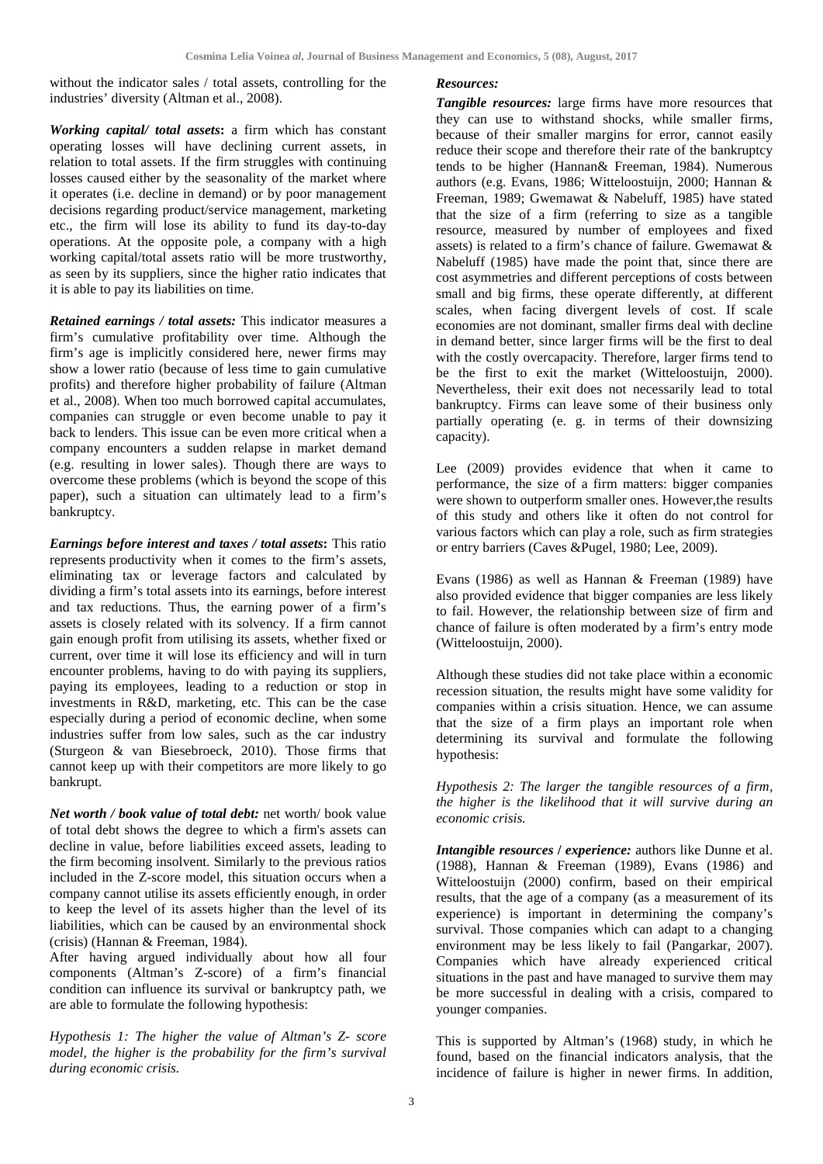without the indicator sales / total assets, controlling for the industries' diversity (Altman et al., 2008).

*Working capital/ total assets***:** a firm which has constant operating losses will have declining current assets, in relation to total assets. If the firm struggles with continuing losses caused either by the seasonality of the market where it operates (i.e. decline in demand) or by poor management decisions regarding product/service management, marketing etc., the firm will lose its ability to fund its day-to-day operations. At the opposite pole, a company with a high working capital/total assets ratio will be more trustworthy, as seen by its suppliers, since the higher ratio indicates that it is able to pay its liabilities on time.

*Retained earnings / total assets:* This indicator measures a firm's cumulative profitability over time. Although the firm's age is implicitly considered here, newer firms may show a lower ratio (because of less time to gain cumulative profits) and therefore higher probability of failure (Altman et al., 2008). When too much borrowed capital accumulates, companies can struggle or even become unable to pay it back to lenders. This issue can be even more critical when a company encounters a sudden relapse in market demand (e.g. resulting in lower sales). Though there are ways to overcome these problems (which is beyond the scope of this paper), such a situation can ultimately lead to a firm's bankruptcy.

*Earnings before interest and taxes / total assets***:** This ratio represents productivity when it comes to the firm's assets, eliminating tax or leverage factors and calculated by dividing a firm's total assets into its earnings, before interest and tax reductions. Thus, the earning power of a firm's assets is closely related with its solvency. If a firm cannot gain enough profit from utilising its assets, whether fixed or current, over time it will lose its efficiency and will in turn encounter problems, having to do with paying its suppliers, paying its employees, leading to a reduction or stop in investments in R&D, marketing, etc. This can be the case especially during a period of economic decline, when some industries suffer from low sales, such as the car industry (Sturgeon & van Biesebroeck, 2010). Those firms that cannot keep up with their competitors are more likely to go bankrupt.

*Net worth / book value of total debt:* net worth/ book value of total debt shows the degree to which a firm's assets can decline in value, before liabilities exceed assets, leading to the firm becoming insolvent. Similarly to the previous ratios included in the Z-score model, this situation occurs when a company cannot utilise its assets efficiently enough, in order to keep the level of its assets higher than the level of its liabilities, which can be caused by an environmental shock (crisis) (Hannan & Freeman, 1984).

After having argued individually about how all four components (Altman's Z-score) of a firm's financial condition can influence its survival or bankruptcy path, we are able to formulate the following hypothesis:

*Hypothesis 1: The higher the value of Altman's Z- score model, the higher is the probability for the firm's survival during economic crisis.* 

### *Resources:*

*Tangible resources:* large firms have more resources that they can use to withstand shocks, while smaller firms, because of their smaller margins for error, cannot easily reduce their scope and therefore their rate of the bankruptcy tends to be higher (Hannan& Freeman, 1984). Numerous authors (e.g. Evans, 1986; Witteloostuijn, 2000; Hannan & Freeman, 1989; Gwemawat & Nabeluff, 1985) have stated that the size of a firm (referring to size as a tangible resource, measured by number of employees and fixed assets) is related to a firm's chance of failure. Gwemawat & Nabeluff (1985) have made the point that, since there are cost asymmetries and different perceptions of costs between small and big firms, these operate differently, at different scales, when facing divergent levels of cost. If scale economies are not dominant, smaller firms deal with decline in demand better, since larger firms will be the first to deal with the costly overcapacity. Therefore, larger firms tend to be the first to exit the market (Witteloostuijn, 2000). Nevertheless, their exit does not necessarily lead to total bankruptcy. Firms can leave some of their business only partially operating (e. g. in terms of their downsizing capacity).

Lee (2009) provides evidence that when it came to performance, the size of a firm matters: bigger companies were shown to outperform smaller ones. However,the results of this study and others like it often do not control for various factors which can play a role, such as firm strategies or entry barriers (Caves &Pugel, 1980; Lee, 2009).

Evans (1986) as well as Hannan & Freeman (1989) have also provided evidence that bigger companies are less likely to fail. However, the relationship between size of firm and chance of failure is often moderated by a firm's entry mode (Witteloostuijn, 2000).

Although these studies did not take place within a economic recession situation, the results might have some validity for companies within a crisis situation. Hence, we can assume that the size of a firm plays an important role when determining its survival and formulate the following hypothesis:

*Hypothesis 2: The larger the tangible resources of a firm, the higher is the likelihood that it will survive during an economic crisis.*

*Intangible resources / experience:* authors like Dunne et al. (1988), Hannan & Freeman (1989), Evans (1986) and Witteloostuijn (2000) confirm, based on their empirical results, that the age of a company (as a measurement of its experience) is important in determining the company's survival. Those companies which can adapt to a changing environment may be less likely to fail (Pangarkar, 2007). Companies which have already experienced critical situations in the past and have managed to survive them may be more successful in dealing with a crisis, compared to younger companies.

This is supported by Altman's (1968) study, in which he found, based on the financial indicators analysis, that the incidence of failure is higher in newer firms. In addition,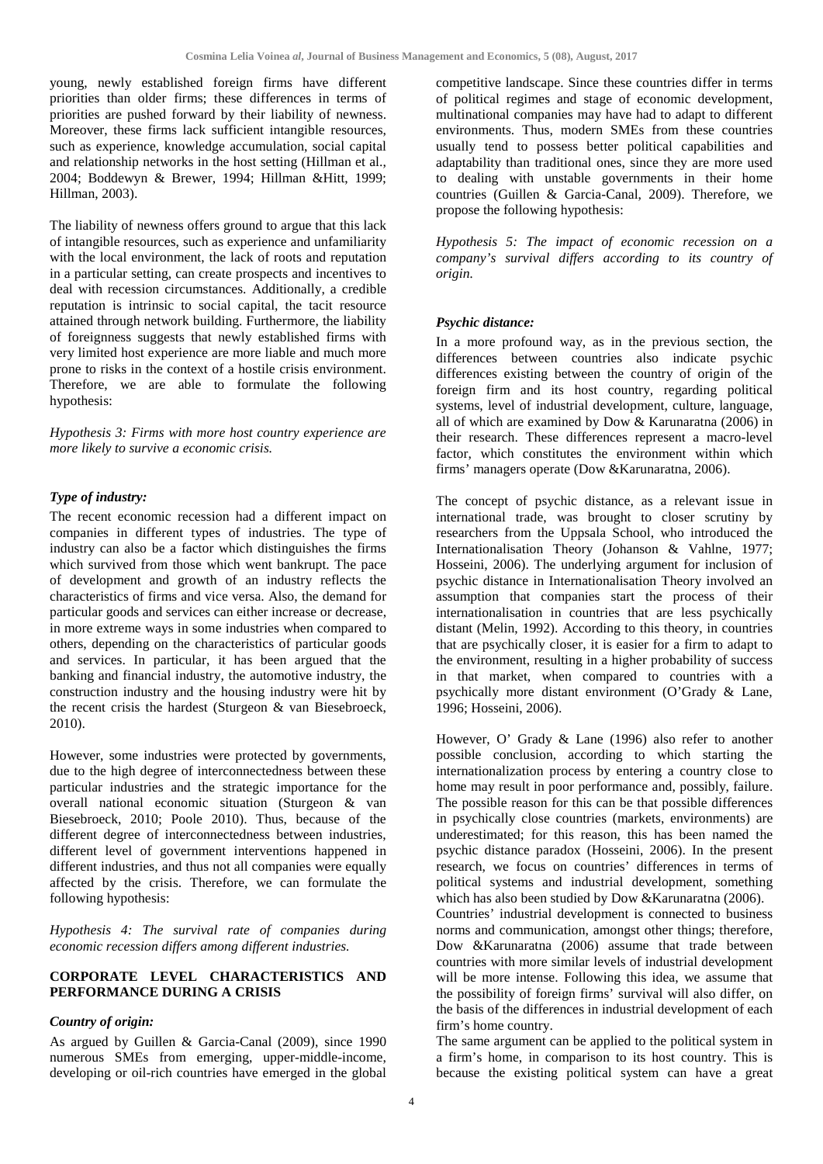young, newly established foreign firms have different priorities than older firms; these differences in terms of priorities are pushed forward by their liability of newness. Moreover, these firms lack sufficient intangible resources, such as experience, knowledge accumulation, social capital and relationship networks in the host setting (Hillman et al., 2004; Boddewyn & Brewer, 1994; Hillman &Hitt, 1999; Hillman, 2003).

The liability of newness offers ground to argue that this lack of intangible resources, such as experience and unfamiliarity with the local environment, the lack of roots and reputation in a particular setting, can create prospects and incentives to deal with recession circumstances. Additionally, a credible reputation is intrinsic to social capital, the tacit resource attained through network building. Furthermore, the liability of foreignness suggests that newly established firms with very limited host experience are more liable and much more prone to risks in the context of a hostile crisis environment. Therefore, we are able to formulate the following hypothesis:

*Hypothesis 3: Firms with more host country experience are more likely to survive a economic crisis.* 

### *Type of industry:*

The recent economic recession had a different impact on companies in different types of industries. The type of industry can also be a factor which distinguishes the firms which survived from those which went bankrupt. The pace of development and growth of an industry reflects the characteristics of firms and vice versa. Also, the demand for particular goods and services can either increase or decrease, in more extreme ways in some industries when compared to others, depending on the characteristics of particular goods and services. In particular, it has been argued that the banking and financial industry, the automotive industry, the construction industry and the housing industry were hit by the recent crisis the hardest (Sturgeon & van Biesebroeck, 2010).

However, some industries were protected by governments, due to the high degree of interconnectedness between these particular industries and the strategic importance for the overall national economic situation (Sturgeon & van Biesebroeck, 2010; Poole 2010). Thus, because of the different degree of interconnectedness between industries, different level of government interventions happened in different industries, and thus not all companies were equally affected by the crisis. Therefore, we can formulate the following hypothesis:

*Hypothesis 4: The survival rate of companies during economic recession differs among different industries.*

### **CORPORATE LEVEL CHARACTERISTICS AND PERFORMANCE DURING A CRISIS**

### *Country of origin:*

As argued by Guillen & Garcia-Canal (2009), since 1990 numerous SMEs from emerging, upper-middle-income, developing or oil-rich countries have emerged in the global

competitive landscape. Since these countries differ in terms of political regimes and stage of economic development, multinational companies may have had to adapt to different environments. Thus, modern SMEs from these countries usually tend to possess better political capabilities and adaptability than traditional ones, since they are more used to dealing with unstable governments in their home countries (Guillen & Garcia-Canal, 2009). Therefore, we propose the following hypothesis:

*Hypothesis 5: The impact of economic recession on a company's survival differs according to its country of origin.*

### *Psychic distance:*

In a more profound way, as in the previous section, the differences between countries also indicate psychic differences existing between the country of origin of the foreign firm and its host country, regarding political systems, level of industrial development, culture, language, all of which are examined by Dow & Karunaratna (2006) in their research. These differences represent a macro-level factor, which constitutes the environment within which firms' managers operate (Dow &Karunaratna, 2006).

The concept of psychic distance, as a relevant issue in international trade, was brought to closer scrutiny by researchers from the Uppsala School, who introduced the Internationalisation Theory (Johanson & Vahlne, 1977; Hosseini, 2006). The underlying argument for inclusion of psychic distance in Internationalisation Theory involved an assumption that companies start the process of their internationalisation in countries that are less psychically distant (Melin, 1992). According to this theory, in countries that are psychically closer, it is easier for a firm to adapt to the environment, resulting in a higher probability of success in that market, when compared to countries with a psychically more distant environment (O'Grady & Lane, 1996; Hosseini, 2006).

However, O' Grady & Lane (1996) also refer to another possible conclusion, according to which starting the internationalization process by entering a country close to home may result in poor performance and, possibly, failure. The possible reason for this can be that possible differences in psychically close countries (markets, environments) are underestimated; for this reason, this has been named the psychic distance paradox (Hosseini, 2006). In the present research, we focus on countries' differences in terms of political systems and industrial development, something which has also been studied by Dow &Karunaratna (2006). Countries' industrial development is connected to business norms and communication, amongst other things; therefore, Dow &Karunaratna (2006) assume that trade between countries with more similar levels of industrial development will be more intense. Following this idea, we assume that the possibility of foreign firms' survival will also differ, on the basis of the differences in industrial development of each firm's home country.

The same argument can be applied to the political system in a firm's home, in comparison to its host country. This is because the existing political system can have a great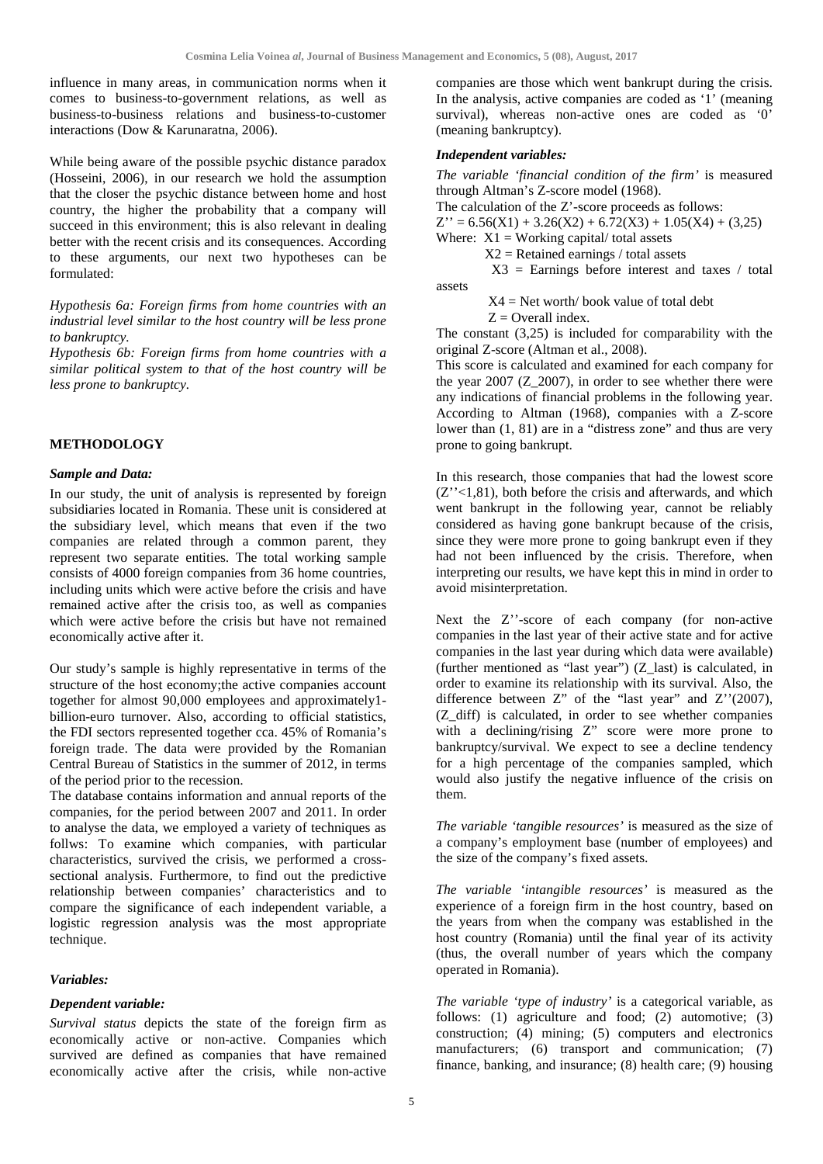influence in many areas, in communication norms when it comes to business-to-government relations, as well as business-to-business relations and business-to-customer interactions (Dow & Karunaratna, 2006).

While being aware of the possible psychic distance paradox (Hosseini, 2006), in our research we hold the assumption that the closer the psychic distance between home and host country, the higher the probability that a company will succeed in this environment; this is also relevant in dealing better with the recent crisis and its consequences. According to these arguments, our next two hypotheses can be formulated:

*Hypothesis 6a: Foreign firms from home countries with an industrial level similar to the host country will be less prone to bankruptcy.* 

*Hypothesis 6b: Foreign firms from home countries with a similar political system to that of the host country will be less prone to bankruptcy.*

### **METHODOLOGY**

#### *Sample and Data:*

In our study, the unit of analysis is represented by foreign subsidiaries located in Romania. These unit is considered at the subsidiary level, which means that even if the two companies are related through a common parent, they represent two separate entities. The total working sample consists of 4000 foreign companies from 36 home countries, including units which were active before the crisis and have remained active after the crisis too, as well as companies which were active before the crisis but have not remained economically active after it.

Our study's sample is highly representative in terms of the structure of the host economy;the active companies account together for almost 90,000 employees and approximately1 billion-euro turnover. Also, according to official statistics, the FDI sectors represented together cca. 45% of Romania's foreign trade. The data were provided by the Romanian Central Bureau of Statistics in the summer of 2012, in terms of the period prior to the recession.

The database contains information and annual reports of the companies, for the period between 2007 and 2011. In order to analyse the data, we employed a variety of techniques as follws: To examine which companies, with particular characteristics, survived the crisis, we performed a crosssectional analysis. Furthermore, to find out the predictive relationship between companies' characteristics and to compare the significance of each independent variable, a logistic regression analysis was the most appropriate technique.

#### *Variables:*

#### *Dependent variable:*

*Survival status* depicts the state of the foreign firm as economically active or non-active. Companies which survived are defined as companies that have remained economically active after the crisis, while non-active

companies are those which went bankrupt during the crisis. In the analysis, active companies are coded as '1' (meaning survival), whereas non-active ones are coded as '0' (meaning bankruptcy).

#### *Independent variables:*

*The variable 'financial condition of the firm'* is measured through Altman's Z-score model (1968).

The calculation of the Z'-score proceeds as follows:

 $Z'' = 6.56(X1) + 3.26(X2) + 6.72(X3) + 1.05(X4) + (3.25)$ 

Where:  $X1 = \text{Working capital}/ \text{total assets}$ 

 $X2 =$  Retained earnings / total assets

 $X3$  = Earnings before interest and taxes / total assets

> $X4 = Net worth/book value of total debt$  $Z =$  Overall index.

The constant (3,25) is included for comparability with the original Z-score (Altman et al., 2008).

This score is calculated and examined for each company for the year 2007 (Z\_2007), in order to see whether there were any indications of financial problems in the following year. According to Altman (1968), companies with a Z-score lower than (1, 81) are in a "distress zone" and thus are very prone to going bankrupt.

In this research, those companies that had the lowest score  $(Z''<1,81)$ , both before the crisis and afterwards, and which went bankrupt in the following year, cannot be reliably considered as having gone bankrupt because of the crisis, since they were more prone to going bankrupt even if they had not been influenced by the crisis. Therefore, when interpreting our results, we have kept this in mind in order to avoid misinterpretation.

Next the Z''-score of each company (for non-active companies in the last year of their active state and for active companies in the last year during which data were available) (further mentioned as "last year") (Z\_last) is calculated, in order to examine its relationship with its survival. Also, the difference between Z" of the "last year" and Z''(2007), (Z\_diff) is calculated, in order to see whether companies with a declining/rising Z" score were more prone to bankruptcy/survival. We expect to see a decline tendency for a high percentage of the companies sampled, which would also justify the negative influence of the crisis on them.

*The variable 'tangible resources'* is measured as the size of a company's employment base (number of employees) and the size of the company's fixed assets.

*The variable 'intangible resources'* is measured as the experience of a foreign firm in the host country, based on the years from when the company was established in the host country (Romania) until the final year of its activity (thus, the overall number of years which the company operated in Romania).

*The variable 'type of industry'* is a categorical variable, as follows: (1) agriculture and food; (2) automotive; (3) construction; (4) mining; (5) computers and electronics manufacturers; (6) transport and communication; (7) finance, banking, and insurance; (8) health care; (9) housing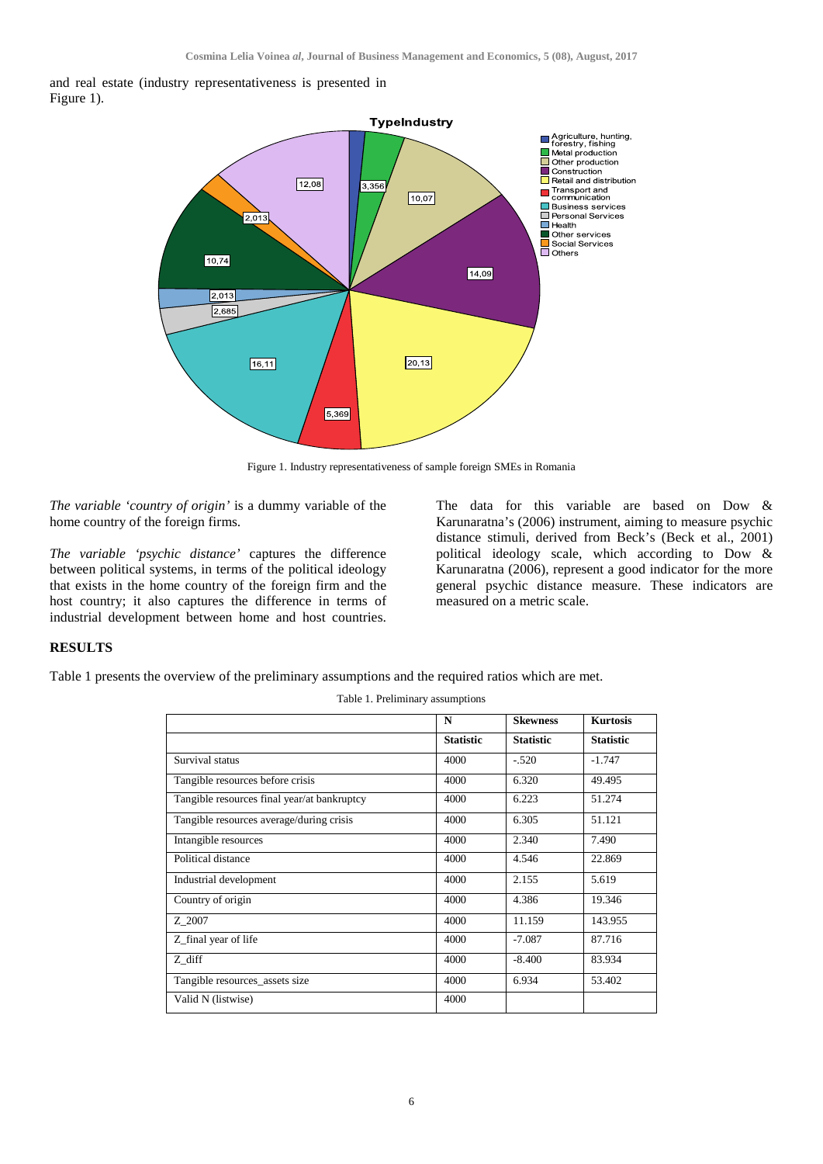



Figure 1. Industry representativeness of sample foreign SMEs in Romania

*The variable 'country of origin'* is a dummy variable of the home country of the foreign firms.

*The variable 'psychic distance'* captures the difference between political systems, in terms of the political ideology that exists in the home country of the foreign firm and the host country; it also captures the difference in terms of industrial development between home and host countries.

The data for this variable are based on Dow & Karunaratna's (2006) instrument, aiming to measure psychic distance stimuli, derived from Beck's (Beck et al., 2001) political ideology scale, which according to Dow & Karunaratna (2006), represent a good indicator for the more general psychic distance measure. These indicators are measured on a metric scale.

### **RESULTS**

Table 1 presents the overview of the preliminary assumptions and the required ratios which are met.

|                                             | N                | <b>Skewness</b>  | <b>Kurtosis</b>  |
|---------------------------------------------|------------------|------------------|------------------|
|                                             | <b>Statistic</b> | <b>Statistic</b> | <b>Statistic</b> |
| Survival status                             | 4000             | $-.520$          | $-1.747$         |
| Tangible resources before crisis            | 4000             | 6.320            | 49.495           |
| Tangible resources final year/at bankruptcy | 4000             | 6.223            | 51.274           |
| Tangible resources average/during crisis    | 4000             | 6.305            | 51.121           |
| Intangible resources                        | 4000             | 2.340            | 7.490            |
| Political distance                          | 4000             | 4.546            | 22.869           |
| Industrial development                      | 4000             | 2.155            | 5.619            |
| Country of origin                           | 4000             | 4.386            | 19.346           |
| Z 2007                                      | 4000             | 11.159           | 143.955          |
| Z_final year of life                        | 4000             | $-7.087$         | 87.716           |
| Z diff                                      | 4000             | $-8.400$         | 83.934           |
| Tangible resources_assets size              | 4000             | 6.934            | 53.402           |
| Valid N (listwise)                          | 4000             |                  |                  |

Table 1. Preliminary assumptions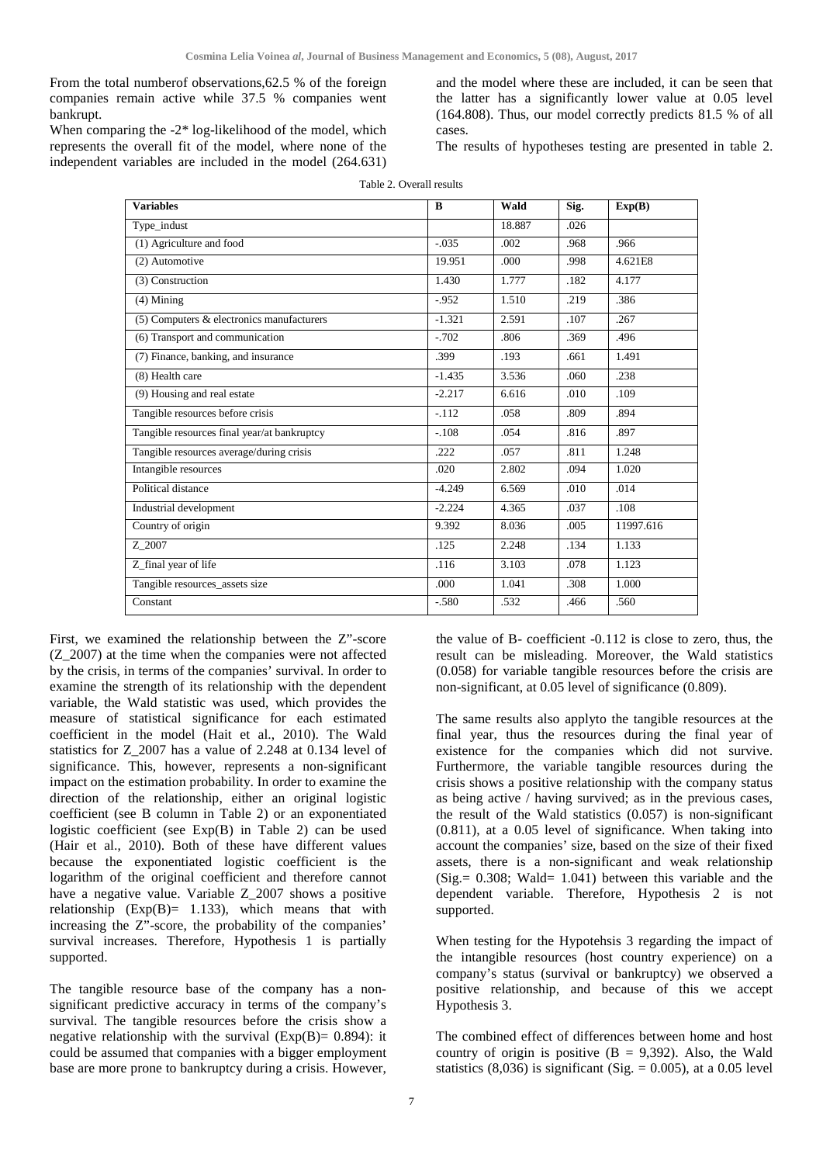From the total numberof observations,62.5 % of the foreign companies remain active while 37.5 % companies went bankrupt.

When comparing the -2\* log-likelihood of the model, which represents the overall fit of the model, where none of the independent variables are included in the model (264.631)

and the model where these are included, it can be seen that the latter has a significantly lower value at 0.05 level (164.808). Thus, our model correctly predicts 81.5 % of all cases.

The results of hypotheses testing are presented in table 2.

| <b>Variables</b>                            | B        | Wald   | Sig. | Exp(B)    |
|---------------------------------------------|----------|--------|------|-----------|
| Type_indust                                 |          | 18.887 | .026 |           |
| (1) Agriculture and food                    | $-.035$  | .002   | .968 | .966      |
| (2) Automotive                              | 19.951   | .000   | .998 | 4.621E8   |
| $(3)$ Construction                          | 1.430    | 1.777  | .182 | 4.177     |
| $(4)$ Mining                                | $-0.952$ | 1.510  | .219 | .386      |
| (5) Computers & electronics manufacturers   | $-1.321$ | 2.591  | .107 | .267      |
| (6) Transport and communication             | $-.702$  | .806   | .369 | .496      |
| (7) Finance, banking, and insurance         | .399     | .193   | .661 | 1.491     |
| (8) Health care                             | $-1.435$ | 3.536  | .060 | .238      |
| (9) Housing and real estate                 | $-2.217$ | 6.616  | .010 | .109      |
| Tangible resources before crisis            | $-.112$  | .058   | .809 | .894      |
| Tangible resources final year/at bankruptcy | $-.108$  | .054   | .816 | .897      |
| Tangible resources average/during crisis    | .222     | .057   | .811 | 1.248     |
| Intangible resources                        | .020     | 2.802  | .094 | 1.020     |
| Political distance                          | $-4.249$ | 6.569  | .010 | .014      |
| Industrial development                      | $-2.224$ | 4.365  | .037 | .108      |
| Country of origin                           | 9.392    | 8.036  | .005 | 11997.616 |
| Z 2007                                      | .125     | 2.248  | .134 | 1.133     |
| Z_final year of life                        | .116     | 3.103  | .078 | 1.123     |
| Tangible resources_assets size              | .000     | 1.041  | .308 | 1.000     |
| Constant                                    | $-.580$  | .532   | .466 | .560      |

Table 2. Overall results

First, we examined the relationship between the Z"-score (Z\_2007) at the time when the companies were not affected by the crisis, in terms of the companies' survival. In order to examine the strength of its relationship with the dependent variable, the Wald statistic was used, which provides the measure of statistical significance for each estimated coefficient in the model (Hait et al., 2010). The Wald statistics for Z\_2007 has a value of 2.248 at 0.134 level of significance. This, however, represents a non-significant impact on the estimation probability. In order to examine the direction of the relationship, either an original logistic coefficient (see B column in Table 2) or an exponentiated logistic coefficient (see  $Exp(B)$  in Table 2) can be used (Hair et al., 2010). Both of these have different values because the exponentiated logistic coefficient is the logarithm of the original coefficient and therefore cannot have a negative value. Variable Z\_2007 shows a positive relationship  $(Exp(B) = 1.133)$ , which means that with increasing the Z"-score, the probability of the companies' survival increases. Therefore, Hypothesis 1 is partially supported.

The tangible resource base of the company has a nonsignificant predictive accuracy in terms of the company's survival. The tangible resources before the crisis show a negative relationship with the survival  $(Exp(B)= 0.894)$ : it could be assumed that companies with a bigger employment base are more prone to bankruptcy during a crisis. However, the value of B- coefficient -0.112 is close to zero, thus, the result can be misleading. Moreover, the Wald statistics (0.058) for variable tangible resources before the crisis are non-significant, at 0.05 level of significance (0.809).

The same results also applyto the tangible resources at the final year, thus the resources during the final year of existence for the companies which did not survive. Furthermore, the variable tangible resources during the crisis shows a positive relationship with the company status as being active / having survived; as in the previous cases, the result of the Wald statistics (0.057) is non-significant (0.811), at a 0.05 level of significance. When taking into account the companies' size, based on the size of their fixed assets, there is a non-significant and weak relationship (Sig. =  $0.308$ ; Wald =  $1.041$ ) between this variable and the dependent variable. Therefore, Hypothesis 2 is not supported.

When testing for the Hypotehsis 3 regarding the impact of the intangible resources (host country experience) on a company's status (survival or bankruptcy) we observed a positive relationship, and because of this we accept Hypothesis 3.

The combined effect of differences between home and host country of origin is positive  $(B = 9,392)$ . Also, the Wald statistics  $(8,036)$  is significant  $(Sig. = 0.005)$ , at a 0.05 level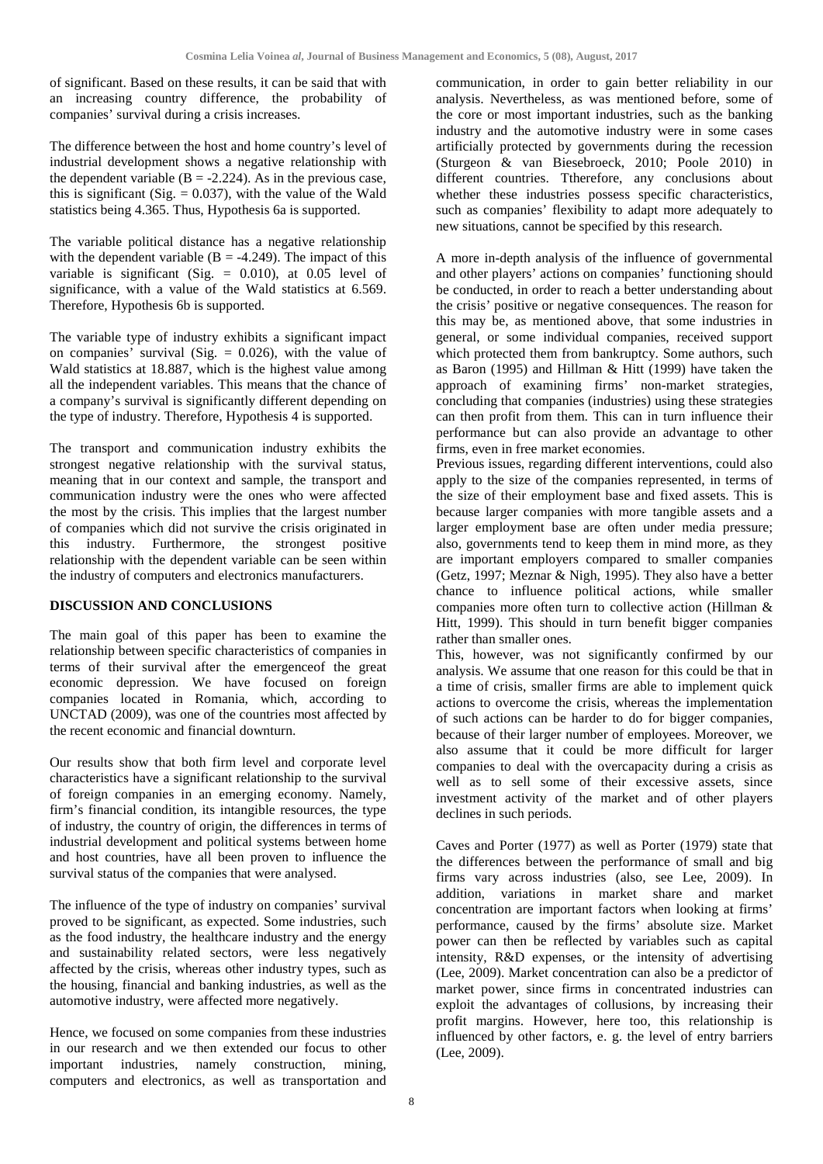of significant. Based on these results, it can be said that with an increasing country difference, the probability of companies' survival during a crisis increases.

The difference between the host and home country's level of industrial development shows a negative relationship with the dependent variable  $(B = -2.224)$ . As in the previous case, this is significant (Sig.  $= 0.037$ ), with the value of the Wald statistics being 4.365. Thus, Hypothesis 6a is supported.

The variable political distance has a negative relationship with the dependent variable ( $B = -4.249$ ). The impact of this variable is significant (Sig.  $= 0.010$ ), at 0.05 level of significance, with a value of the Wald statistics at 6.569. Therefore, Hypothesis 6b is supported.

The variable type of industry exhibits a significant impact on companies' survival (Sig.  $= 0.026$ ), with the value of Wald statistics at 18.887, which is the highest value among all the independent variables. This means that the chance of a company's survival is significantly different depending on the type of industry. Therefore, Hypothesis 4 is supported.

The transport and communication industry exhibits the strongest negative relationship with the survival status, meaning that in our context and sample, the transport and communication industry were the ones who were affected the most by the crisis. This implies that the largest number of companies which did not survive the crisis originated in this industry. Furthermore, the strongest positive relationship with the dependent variable can be seen within the industry of computers and electronics manufacturers.

### **DISCUSSION AND CONCLUSIONS**

The main goal of this paper has been to examine the relationship between specific characteristics of companies in terms of their survival after the emergenceof the great economic depression. We have focused on foreign companies located in Romania, which, according to UNCTAD (2009), was one of the countries most affected by the recent economic and financial downturn.

Our results show that both firm level and corporate level characteristics have a significant relationship to the survival of foreign companies in an emerging economy. Namely, firm's financial condition, its intangible resources, the type of industry, the country of origin, the differences in terms of industrial development and political systems between home and host countries, have all been proven to influence the survival status of the companies that were analysed.

The influence of the type of industry on companies' survival proved to be significant, as expected. Some industries, such as the food industry, the healthcare industry and the energy and sustainability related sectors, were less negatively affected by the crisis, whereas other industry types, such as the housing, financial and banking industries, as well as the automotive industry, were affected more negatively.

Hence, we focused on some companies from these industries in our research and we then extended our focus to other<br>important industries, namely construction, mining, industries, namely construction, computers and electronics, as well as transportation and

communication, in order to gain better reliability in our analysis. Nevertheless, as was mentioned before, some of the core or most important industries, such as the banking industry and the automotive industry were in some cases artificially protected by governments during the recession (Sturgeon & van Biesebroeck, 2010; Poole 2010) in different countries. Ttherefore, any conclusions about whether these industries possess specific characteristics, such as companies' flexibility to adapt more adequately to new situations, cannot be specified by this research.

A more in-depth analysis of the influence of governmental and other players' actions on companies' functioning should be conducted, in order to reach a better understanding about the crisis' positive or negative consequences. The reason for this may be, as mentioned above, that some industries in general, or some individual companies, received support which protected them from bankruptcy. Some authors, such as Baron (1995) and Hillman & Hitt (1999) have taken the approach of examining firms' non-market strategies, concluding that companies (industries) using these strategies can then profit from them. This can in turn influence their performance but can also provide an advantage to other firms, even in free market economies.

Previous issues, regarding different interventions, could also apply to the size of the companies represented, in terms of the size of their employment base and fixed assets. This is because larger companies with more tangible assets and a larger employment base are often under media pressure; also, governments tend to keep them in mind more, as they are important employers compared to smaller companies (Getz, 1997; Meznar & Nigh, 1995). They also have a better chance to influence political actions, while smaller companies more often turn to collective action (Hillman & Hitt, 1999). This should in turn benefit bigger companies rather than smaller ones.

This, however, was not significantly confirmed by our analysis. We assume that one reason for this could be that in a time of crisis, smaller firms are able to implement quick actions to overcome the crisis, whereas the implementation of such actions can be harder to do for bigger companies, because of their larger number of employees. Moreover, we also assume that it could be more difficult for larger companies to deal with the overcapacity during a crisis as well as to sell some of their excessive assets, since investment activity of the market and of other players declines in such periods.

Caves and Porter (1977) as well as Porter (1979) state that the differences between the performance of small and big firms vary across industries (also, see Lee, 2009). In addition, variations in market share and market concentration are important factors when looking at firms' performance, caused by the firms' absolute size. Market power can then be reflected by variables such as capital intensity, R&D expenses, or the intensity of advertising (Lee, 2009). Market concentration can also be a predictor of market power, since firms in concentrated industries can exploit the advantages of collusions, by increasing their profit margins. However, here too, this relationship is influenced by other factors, e. g. the level of entry barriers (Lee, 2009).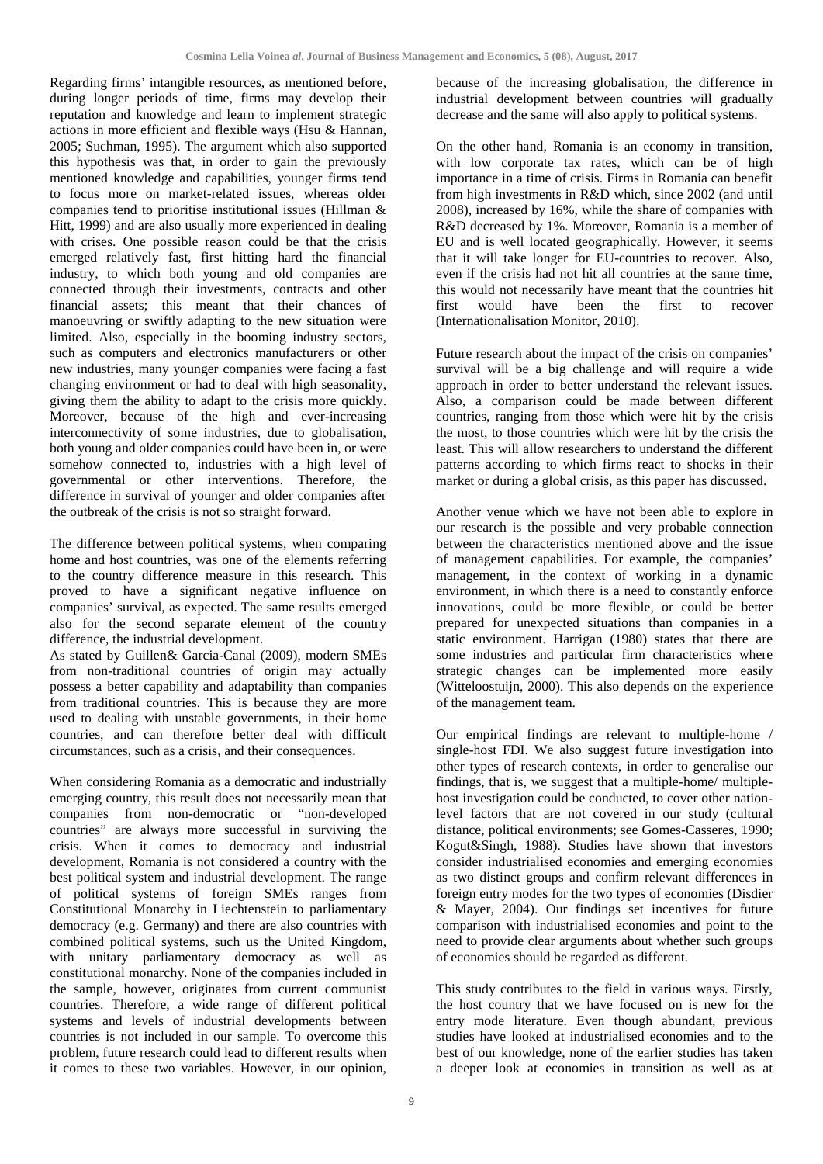Regarding firms' intangible resources, as mentioned before, during longer periods of time, firms may develop their reputation and knowledge and learn to implement strategic actions in more efficient and flexible ways (Hsu & Hannan, 2005; Suchman, 1995). The argument which also supported this hypothesis was that, in order to gain the previously mentioned knowledge and capabilities, younger firms tend to focus more on market-related issues, whereas older companies tend to prioritise institutional issues (Hillman & Hitt, 1999) and are also usually more experienced in dealing with crises. One possible reason could be that the crisis emerged relatively fast, first hitting hard the financial industry, to which both young and old companies are connected through their investments, contracts and other financial assets; this meant that their chances of manoeuvring or swiftly adapting to the new situation were limited. Also, especially in the booming industry sectors, such as computers and electronics manufacturers or other new industries, many younger companies were facing a fast changing environment or had to deal with high seasonality, giving them the ability to adapt to the crisis more quickly. Moreover, because of the high and ever-increasing interconnectivity of some industries, due to globalisation, both young and older companies could have been in, or were somehow connected to, industries with a high level of governmental or other interventions. Therefore, the difference in survival of younger and older companies after the outbreak of the crisis is not so straight forward.

The difference between political systems, when comparing home and host countries, was one of the elements referring to the country difference measure in this research. This proved to have a significant negative influence on companies' survival, as expected. The same results emerged also for the second separate element of the country difference, the industrial development.

As stated by Guillen& Garcia-Canal (2009), modern SMEs from non-traditional countries of origin may actually possess a better capability and adaptability than companies from traditional countries. This is because they are more used to dealing with unstable governments, in their home countries, and can therefore better deal with difficult circumstances, such as a crisis, and their consequences.

When considering Romania as a democratic and industrially emerging country, this result does not necessarily mean that companies from non-democratic or "non-developed countries" are always more successful in surviving the crisis. When it comes to democracy and industrial development, Romania is not considered a country with the best political system and industrial development. The range of political systems of foreign SMEs ranges from Constitutional Monarchy in Liechtenstein to parliamentary democracy (e.g. Germany) and there are also countries with combined political systems, such us the United Kingdom, with unitary parliamentary democracy as well as constitutional monarchy. None of the companies included in the sample, however, originates from current communist countries. Therefore, a wide range of different political systems and levels of industrial developments between countries is not included in our sample. To overcome this problem, future research could lead to different results when it comes to these two variables. However, in our opinion,

because of the increasing globalisation, the difference in industrial development between countries will gradually decrease and the same will also apply to political systems.

On the other hand, Romania is an economy in transition, with low corporate tax rates, which can be of high importance in a time of crisis. Firms in Romania can benefit from high investments in R&D which, since 2002 (and until 2008), increased by 16%, while the share of companies with R&D decreased by 1%. Moreover, Romania is a member of EU and is well located geographically. However, it seems that it will take longer for EU-countries to recover. Also, even if the crisis had not hit all countries at the same time, this would not necessarily have meant that the countries hit first would have been the first to recover (Internationalisation Monitor, 2010).

Future research about the impact of the crisis on companies' survival will be a big challenge and will require a wide approach in order to better understand the relevant issues. Also, a comparison could be made between different countries, ranging from those which were hit by the crisis the most, to those countries which were hit by the crisis the least. This will allow researchers to understand the different patterns according to which firms react to shocks in their market or during a global crisis, as this paper has discussed.

Another venue which we have not been able to explore in our research is the possible and very probable connection between the characteristics mentioned above and the issue of management capabilities. For example, the companies' management, in the context of working in a dynamic environment, in which there is a need to constantly enforce innovations, could be more flexible, or could be better prepared for unexpected situations than companies in a static environment. Harrigan (1980) states that there are some industries and particular firm characteristics where strategic changes can be implemented more easily (Witteloostuijn, 2000). This also depends on the experience of the management team.

Our empirical findings are relevant to multiple-home / single-host FDI. We also suggest future investigation into other types of research contexts, in order to generalise our findings, that is, we suggest that a multiple-home/ multiplehost investigation could be conducted, to cover other nationlevel factors that are not covered in our study (cultural distance, political environments; see Gomes-Casseres, 1990; Kogut&Singh, 1988). Studies have shown that investors consider industrialised economies and emerging economies as two distinct groups and confirm relevant differences in foreign entry modes for the two types of economies (Disdier & Mayer, 2004). Our findings set incentives for future comparison with industrialised economies and point to the need to provide clear arguments about whether such groups of economies should be regarded as different.

This study contributes to the field in various ways. Firstly, the host country that we have focused on is new for the entry mode literature. Even though abundant, previous studies have looked at industrialised economies and to the best of our knowledge, none of the earlier studies has taken a deeper look at economies in transition as well as at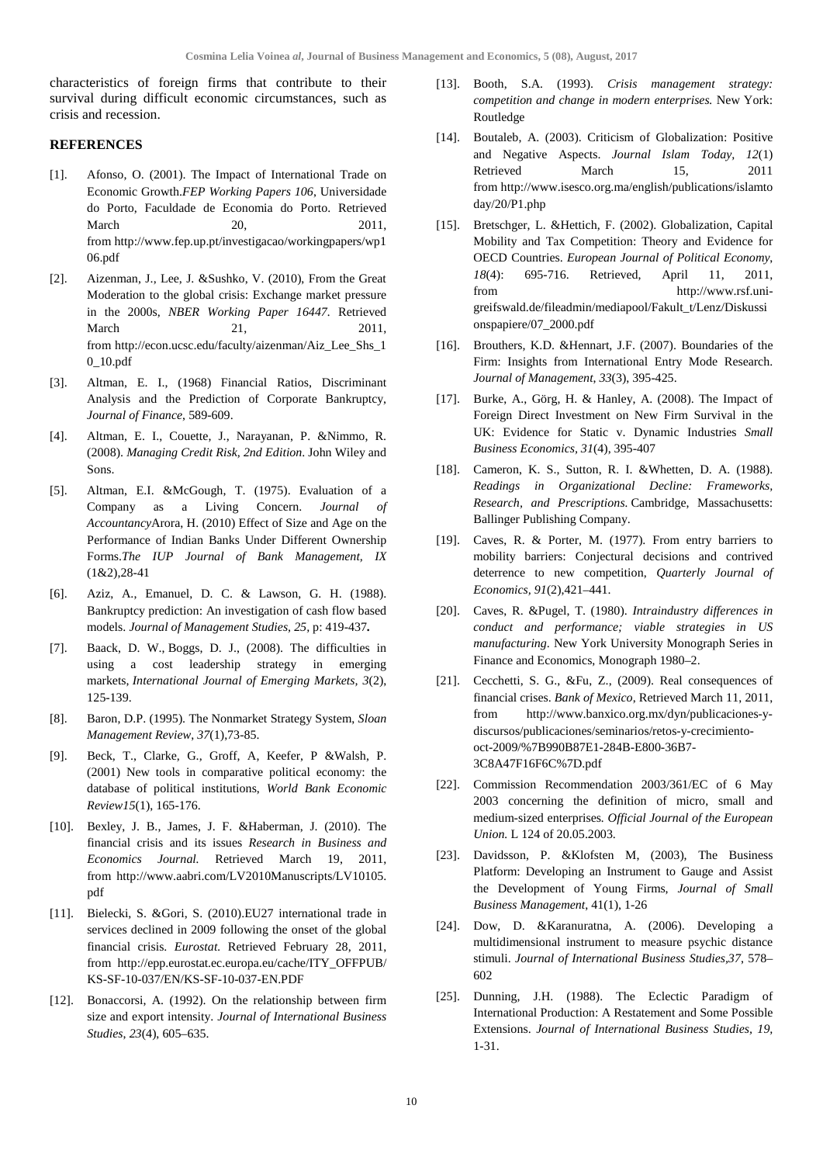characteristics of foreign firms that contribute to their survival during difficult economic circumstances, such as crisis and recession.

### **REFERENCES**

- [1]. Afonso, O. (2001). The Impact of International Trade on Economic Growth.*FEP Working Papers 106*, Universidade do Porto, Faculdade de Economia do Porto. Retrieved March 20, 2011, from [http://www.fep.up.pt/investigacao/workingpapers/wp1](http://www.fep.up.pt/investigacao/workingpapers/wp106.pdf) [06.pdf](http://www.fep.up.pt/investigacao/workingpapers/wp106.pdf)
- [2]. Aizenman, J., Lee, J. &Sushko, V. (2010), From the Great Moderation to the global crisis: Exchange market pressure in the 2000s, *NBER Working Paper 16447.* Retrieved March 21, 2011, from [http://econ.ucsc.edu/faculty/aizenman/Aiz\\_Lee\\_Shs\\_1](http://econ.ucsc.edu/faculty/aizenman/Aiz_Lee_Shs_10_10.pdf) [0\\_10.pdf](http://econ.ucsc.edu/faculty/aizenman/Aiz_Lee_Shs_10_10.pdf)
- [3]. Altman, E. I., (1968) Financial Ratios, Discriminant Analysis and the Prediction of Corporate Bankruptcy, *Journal of Finance*, 589-609.
- [4]. Altman, E. I., Couette, J., Narayanan, P. &Nimmo, R. (2008). *Managing Credit Risk, 2nd Edition*. John Wiley and Sons.
- [5]. Altman, E.I. &McGough, T. (1975). Evaluation of a Company as a Living Concern. *Journal of Accountancy*Arora, H. (2010) Effect of Size and Age on the Performance of Indian Banks Under Different Ownership Forms.*The IUP Journal of Bank Management, IX*  $(1&2)$ , 28-41
- [6]. Aziz, A., Emanuel, D. C. & Lawson, G. H. (1988). Bankruptcy prediction: An investigation of cash flow based models. *Journal of Management Studies, 25,* p: 419-437*.*
- [7]. [Baack,](http://www.emeraldinsight.com/action/doSearch?ContribStored=Baack%2C+D+W) D. W., [Boggs,](http://www.emeraldinsight.com/action/doSearch?ContribStored=Boggs%2C+D+J) D. J., (2008). The difficulties in using a cost leadership strategy in emerging markets, *International Journal of Emerging Markets, 3*(2), 125-139.
- [8]. Baron, D.P. (1995). The Nonmarket Strategy System, *Sloan Management Review*, *37*(1),73-85.
- [9]. Beck, T., Clarke, G., Groff, A, Keefer, P &Walsh, P. (2001) New tools in comparative political economy: the database of political institutions, *World Bank Economic Review15*(1), 165-176.
- [10]. Bexley, J. B., James, J. F. &Haberman, J. (2010). The financial crisis and its issues *Research in Business and Economics Journal.* Retrieved March 19, 2011, from [http://www.aabri.com/LV2010Manuscripts/LV10105.](http://www.aabri.com/LV2010Manuscripts/LV10105.pdf) [pdf](http://www.aabri.com/LV2010Manuscripts/LV10105.pdf)
- [11]. Bielecki, S. &Gori, S. (2010).EU27 international trade in services declined in 2009 following the onset of the global financial crisis. *Eurostat.* Retrieved February 28, 2011, from [http://epp.eurostat.ec.europa.eu/cache/ITY\\_OFFPUB/](http://epp.eurostat.ec.europa.eu/cache/ITY_OFFPUB/KS-SF-10-037/EN/KS-SF-10-037-EN.PDF) [KS-SF-10-037/EN/KS-SF-10-037-EN.PDF](http://epp.eurostat.ec.europa.eu/cache/ITY_OFFPUB/KS-SF-10-037/EN/KS-SF-10-037-EN.PDF)
- [12]. Bonaccorsi, A. (1992). On the relationship between firm size and export intensity. *Journal of International Business Studies*, *23*(4), 605–635.
- [13]. Booth, S.A. (1993). *Crisis management strategy: competition and change in modern enterprises.* New York: Routledge
- [14]. Boutaleb, A. (2003). Criticism of Globalization: Positive and Negative Aspects. *Journal Islam Today, 12*(1) Retrieved March 15, 2011 fro[m http://www.isesco.org.ma/english/publications/islamto](http://www.isesco.org.ma/english/publications/islamtoday/20/P1.php) [day/20/P1.php](http://www.isesco.org.ma/english/publications/islamtoday/20/P1.php)
- [15]. Bretschger, L. &Hettich, F. (2002). Globalization, Capital Mobility and Tax Competition: Theory and Evidence for OECD Countries. *European Journal of Political Economy*, *18*(4): 695-716. Retrieved, April 11, 2011, from [http://www.rsf.uni](http://www.rsf.uni-greifswald.de/fileadmin/mediapool/Fakult_t/Lenz/Diskussionspapiere/07_2000.pdf)[greifswald.de/fileadmin/mediapool/Fakult\\_t/Lenz/Diskussi](http://www.rsf.uni-greifswald.de/fileadmin/mediapool/Fakult_t/Lenz/Diskussionspapiere/07_2000.pdf) [onspapiere/07\\_2000.pdf](http://www.rsf.uni-greifswald.de/fileadmin/mediapool/Fakult_t/Lenz/Diskussionspapiere/07_2000.pdf)
- [16]. Brouthers, K.D. &Hennart, J.F. (2007). Boundaries of the Firm: Insights from International Entry Mode Research. *Journal of Management*, *33*(3), 395-425.
- [17]. Burke, A., Görg, H. & Hanley, A. (2008). The Impact of Foreign Direct Investment on New Firm Survival in the UK: Evidence for Static v. Dynamic Industries *Small Business Economics, 31*(4), 395-407
- [18]. Cameron, K. S., Sutton, R. I. &Whetten, D. A. (1988). *Readings in Organizational Decline: Frameworks, Research, and Prescriptions.* Cambridge, Massachusetts: Ballinger Publishing Company.
- [19]. Caves, R. & Porter, M. (1977). From entry barriers to mobility barriers: Conjectural decisions and contrived deterrence to new competition, *Quarterly Journal of Economics, 91*(2),421–441.
- [20]. Caves, R. &Pugel, T. (1980). *Intraindustry differences in conduct and performance; viable strategies in US manufacturing*. New York University Monograph Series in Finance and Economics, Monograph 1980–2.
- [21]. Cecchetti, S. G., &Fu, Z., (2009). Real consequences of financial crises. *Bank of Mexico*, Retrieved March 11, 2011, from [http://www.banxico.org.mx/dyn/publicaciones-y](http://www.banxico.org.mx/dyn/publicaciones-y-discursos/publicaciones/seminarios/retos-y-crecimiento-oct-2009/%7B990B87E1-284B-E800-36B7-3C8A47F16F6C%7D.pdf)[discursos/publicaciones/seminarios/retos-y-crecimiento](http://www.banxico.org.mx/dyn/publicaciones-y-discursos/publicaciones/seminarios/retos-y-crecimiento-oct-2009/%7B990B87E1-284B-E800-36B7-3C8A47F16F6C%7D.pdf)[oct-2009/%7B990B87E1-284B-E800-36B7-](http://www.banxico.org.mx/dyn/publicaciones-y-discursos/publicaciones/seminarios/retos-y-crecimiento-oct-2009/%7B990B87E1-284B-E800-36B7-3C8A47F16F6C%7D.pdf) [3C8A47F16F6C%7D.pdf](http://www.banxico.org.mx/dyn/publicaciones-y-discursos/publicaciones/seminarios/retos-y-crecimiento-oct-2009/%7B990B87E1-284B-E800-36B7-3C8A47F16F6C%7D.pdf)
- [22]. Commission Recommendation 2003/361/EC of 6 May 2003 concerning the definition of micro, small and medium-sized enterprises*. Official Journal of the European Union.* L 124 of 20.05.2003.
- [23]. Davidsson, P. &Klofsten M, (2003), The Business Platform: Developing an Instrument to Gauge and Assist the Development of Young Firms, *Journal of Small Business Management*, 41(1), 1-26
- [24]. Dow, D. &Karanuratna, A. (2006). Developing a multidimensional instrument to measure psychic distance stimuli. *Journal of International Business Studies,37*, 578– 602
- [25]. Dunning, J.H. (1988). The Eclectic Paradigm of International Production: A Restatement and Some Possible Extensions. *Journal of International Business Studies, 19,*  1-31.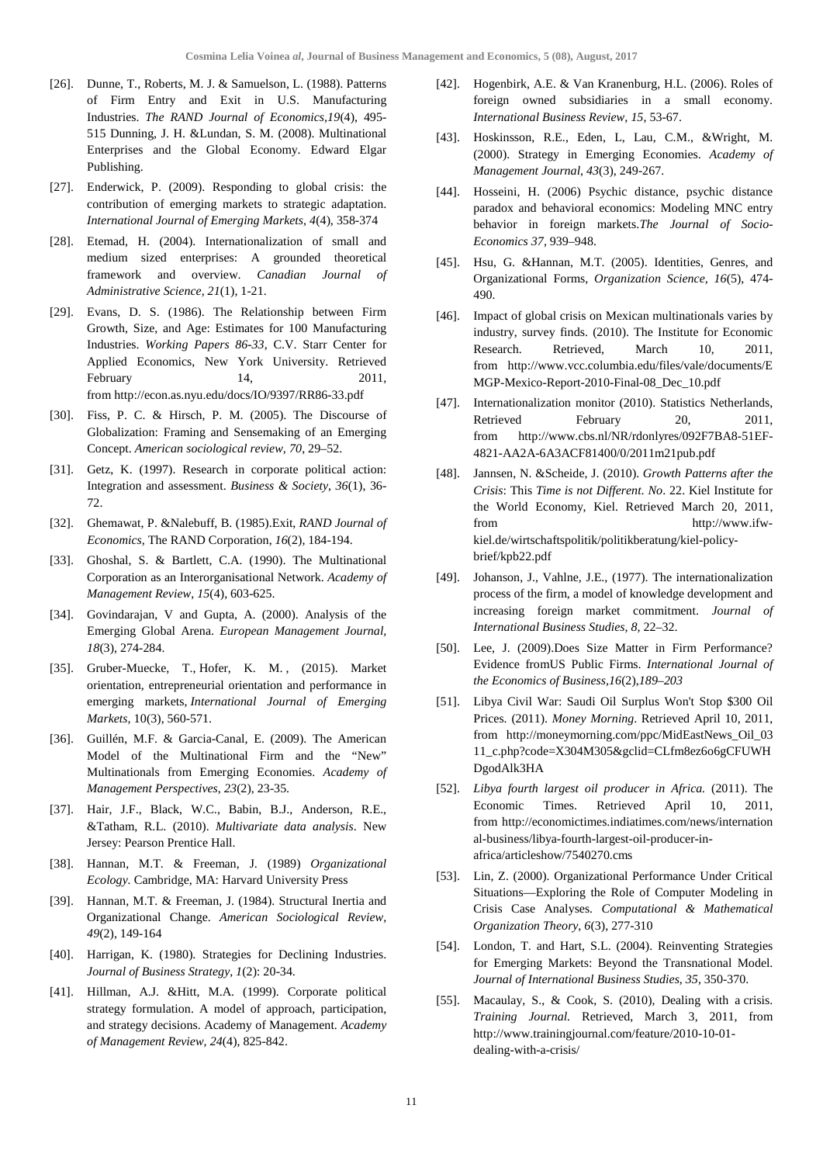- [26]. Dunne, T., Roberts, M. J. & Samuelson, L. (1988). Patterns of Firm Entry and Exit in U.S. Manufacturing Industries. *The RAND Journal of Economics,19*(4), 495- 515 Dunning, J. H. &Lundan, S. M. (2008). Multinational Enterprises and the Global Economy. Edward Elgar Publishing.
- [27]. Enderwick, P. (2009). Responding to global crisis: the contribution of emerging markets to strategic adaptation. *International Journal of Emerging Markets, 4*(4), 358-374
- [28]. Etemad, H. (2004). Internationalization of small and medium sized enterprises: A grounded theoretical framework and overview. *Canadian Journal of Administrative Science, 21*(1), 1-21.
- [29]. Evans, D. S. (1986). The Relationship between Firm Growth, Size, and Age: Estimates for 100 Manufacturing Industries. *Working Papers 86-33*, C.V. Starr Center for Applied Economics, New York University. Retrieved February 14, 2011, fro[m http://econ.as.nyu.edu/docs/IO/9397/RR86-33.pdf](http://econ.as.nyu.edu/docs/IO/9397/RR86-33.pdf)
- [30]. Fiss, P. C. & Hirsch, P. M. (2005). The Discourse of Globalization: Framing and Sensemaking of an Emerging Concept. *American sociological review, 70*, 29–52.
- [31]. Getz, K. (1997). Research in corporate political action: Integration and assessment. *Business & Society*, *36*(1), 36- 72.
- [32]. Ghemawat, P. &Nalebuff, B. (1985).Exit, *RAND Journal of Economics,* The RAND Corporation, *16*(2), 184-194.
- [33]. Ghoshal, S. & Bartlett, C.A. (1990). The Multinational Corporation as an Interorganisational Network. *Academy of Management Review*, *15*(4), 603-625.
- [34]. Govindarajan, V and Gupta, A. (2000). Analysis of the Emerging Global Arena. *European Management Journal*, *18*(3), 274-284.
- [35]. Gruber-Muecke, T., Hofer, K. M. , (2015). Market orientation, entrepreneurial orientation and performance in emerging markets, *International Journal of Emerging Markets,* 10(3), 560-571.
- [36]. Guillén, M.F. & Garcia-Canal, E. (2009). The American Model of the Multinational Firm and the "New" Multinationals from Emerging Economies. *Academy of Management Perspectives*, *23*(2), 23-35.
- [37]. Hair, J.F., Black, W.C., Babin, B.J., Anderson, R.E., &Tatham, R.L. (2010). *Multivariate data analysis*. New Jersey: Pearson Prentice Hall.
- [38]. Hannan, M.T. & Freeman, J. (1989) *Organizational Ecology.* Cambridge, MA: Harvard University Press
- [39]. Hannan, M.T. & Freeman, J. (1984). Structural Inertia and Organizational Change. *American Sociological Review*, *49*(2), 149-164
- [40]. Harrigan, K. (1980). Strategies for Declining Industries. *Journal of Business Strategy*, *1*(2): 20-34.
- [41]. Hillman, A.J. &Hitt, M.A. (1999). Corporate political strategy formulation. A model of approach, participation, and strategy decisions. Academy of Management. *Academy of Management Review*, *24*(4), 825-842.
- [42]. Hogenbirk, A.E. & Van Kranenburg, H.L. (2006). Roles of foreign owned subsidiaries in a small economy. *International Business Review, 15*, 53-67.
- [43]. Hoskinsson, R.E., Eden, L, Lau, C.M., &Wright, M. (2000). Strategy in Emerging Economies. *Academy of Management Journal*, *43*(3), 249-267.
- [44]. Hosseini, H. (2006) Psychic distance, psychic distance paradox and behavioral economics: Modeling MNC entry behavior in foreign markets.*The Journal of Socio-Economics 37,* 939–948.
- [45]. Hsu, G. &Hannan, M.T. (2005). Identities, Genres, and Organizational Forms, *Organization Science, 16*(5), 474- 490.
- [46]. Impact of global crisis on Mexican multinationals varies by industry, survey finds. (2010). The Institute for Economic Research. Retrieved, March 10, 2011, from [http://www.vcc.columbia.edu/files/vale/documents/E](http://www.vcc.columbia.edu/files/vale/documents/EMGP-Mexico-Report-2010-Final-08_Dec_10.pdf) [MGP-Mexico-Report-2010-Final-08\\_Dec\\_10.pdf](http://www.vcc.columbia.edu/files/vale/documents/EMGP-Mexico-Report-2010-Final-08_Dec_10.pdf)
- [47]. Internationalization monitor (2010). Statistics Netherlands, Retrieved February 20, 2011, from [http://www.cbs.nl/NR/rdonlyres/092F7BA8-51EF-](http://www.cbs.nl/NR/rdonlyres/092F7BA8-51EF-4821-AA2A-6A3ACF81400/0/2011m21pub.pdf)[4821-AA2A-6A3ACF81400/0/2011m21pub.pdf](http://www.cbs.nl/NR/rdonlyres/092F7BA8-51EF-4821-AA2A-6A3ACF81400/0/2011m21pub.pdf)
- [48]. Jannsen, N. &Scheide, J. (2010). *Growth Patterns after the Crisis*: This *Time is not Different*. *No*. 22. Kiel Institute for the World Economy, Kiel. Retrieved March 20, 2011, from [http://www.ifw](http://www.ifw-kiel.de/wirtschaftspolitik/politikberatung/kiel-policy-brief/kpb22.pdf)[kiel.de/wirtschaftspolitik/politikberatung/kiel-policy](http://www.ifw-kiel.de/wirtschaftspolitik/politikberatung/kiel-policy-brief/kpb22.pdf)[brief/kpb22.pdf](http://www.ifw-kiel.de/wirtschaftspolitik/politikberatung/kiel-policy-brief/kpb22.pdf)
- [49]. Johanson, J., Vahlne, J.E., (1977). The internationalization process of the firm, a model of knowledge development and increasing foreign market commitment. *Journal of International Business Studies, 8*, 22–32.
- [50]. Lee, J. (2009).Does Size Matter in Firm Performance? Evidence fromUS Public Firms. *International Journal of the Economics of Business,16*(2),*189–203*
- [51]. Libya Civil War: Saudi Oil Surplus Won't Stop \$300 Oil Prices. (2011). *Money Morning*. Retrieved April 10, 2011, from [http://moneymorning.com/ppc/MidEastNews\\_Oil\\_03](http://moneymorning.com/ppc/MidEastNews_Oil_0311_c.php?code=X304M305&gclid=CLfm8ez6o6gCFUWHDgodAlk3HA) [11\\_c.php?code=X304M305&gclid=CLfm8ez6o6gCFUWH](http://moneymorning.com/ppc/MidEastNews_Oil_0311_c.php?code=X304M305&gclid=CLfm8ez6o6gCFUWHDgodAlk3HA) [DgodAlk3HA](http://moneymorning.com/ppc/MidEastNews_Oil_0311_c.php?code=X304M305&gclid=CLfm8ez6o6gCFUWHDgodAlk3HA)
- [52]. *Libya fourth largest oil producer in Africa.* (2011). The Economic Times. Retrieved April 10, 2011, from [http://economictimes.indiatimes.com/news/internation](http://economictimes.indiatimes.com/news/international-business/libya-fourth-largest-oil-producer-in-africa/articleshow/7540270.cms) [al-business/libya-fourth-largest-oil-producer-in](http://economictimes.indiatimes.com/news/international-business/libya-fourth-largest-oil-producer-in-africa/articleshow/7540270.cms)[africa/articleshow/7540270.cms](http://economictimes.indiatimes.com/news/international-business/libya-fourth-largest-oil-producer-in-africa/articleshow/7540270.cms)
- [53]. Lin, Z. (2000). Organizational Performance Under Critical Situations—Exploring the Role of Computer Modeling in Crisis Case Analyses. *Computational & Mathematical Organization Theory*, *6*(3), 277-310
- [54]. London, T. and Hart, S.L. (2004). Reinventing Strategies for Emerging Markets: Beyond the Transnational Model. *Journal of International Business Studies*, *35*, 350-370.
- [55]. Macaulay, S., & Cook, S. (2010), Dealing with a crisis. *Training Journal.* Retrieved, March 3, 2011, from http://www.trainingjournal.com/feature/2010-10-01 dealing-with-a-crisis/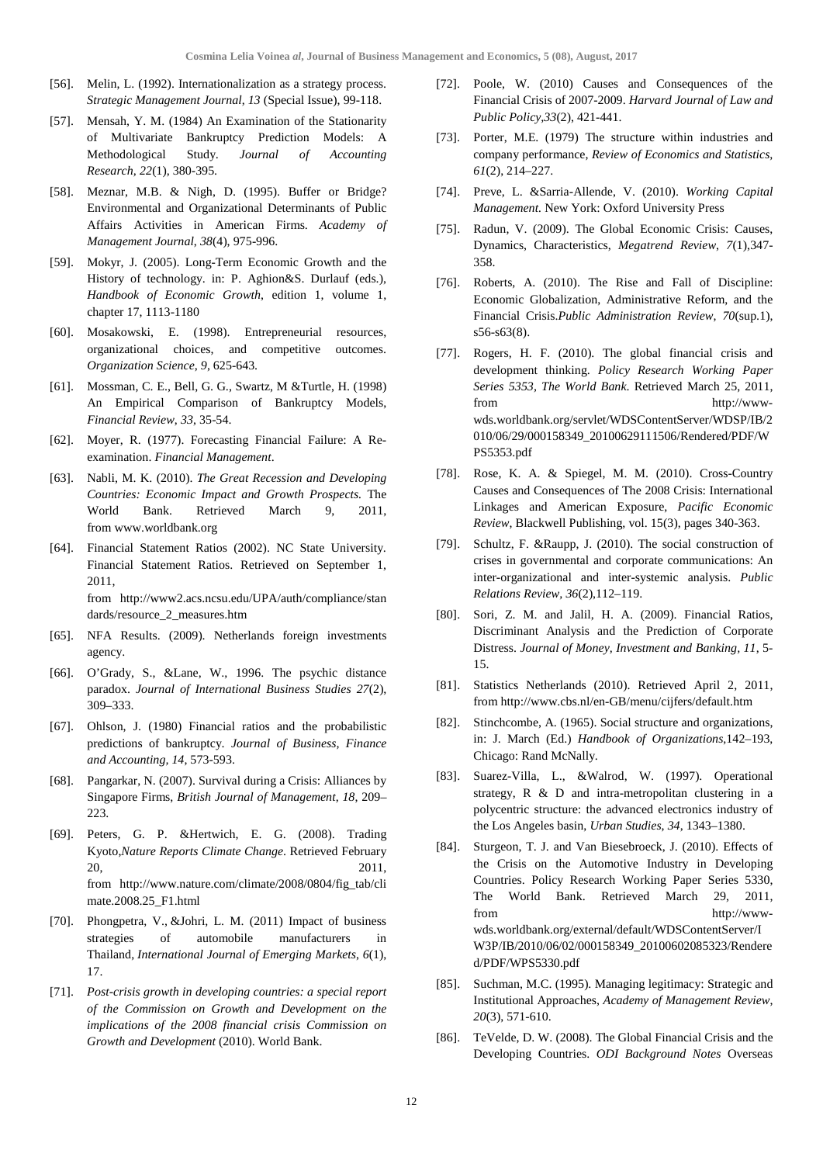- [56]. Melin, L. (1992). Internationalization as a strategy process. *Strategic Management Journal*, *13* (Special Issue), 99-118.
- [57]. Mensah, Y. M. (1984) An Examination of the Stationarity of Multivariate Bankruptcy Prediction Models: A Methodological Study. *Journal of Accounting Research, 22*(1), 380-395.
- [58]. Meznar, M.B. & Nigh, D. (1995). Buffer or Bridge? Environmental and Organizational Determinants of Public Affairs Activities in American Firms. *Academy of Management Journal*, *38*(4), 975-996.
- [59]. Mokyr, J. (2005). Long-Term Economic Growth and the History of technology. in: P. Aghion&S. Durlauf (eds.), *Handbook of Economic Growth*, edition 1, volume 1, chapter 17, 1113-1180
- [60]. Mosakowski, E. (1998). Entrepreneurial resources, organizational choices, and competitive outcomes. *Organization Science*, *9*, 625-643.
- [61]. Mossman, C. E., Bell, G. G., Swartz, M &Turtle, H. (1998) An Empirical Comparison of Bankruptcy Models, *Financial Review*, *33*, 35-54.
- [62]. Moyer, R. (1977). Forecasting Financial Failure: A Reexamination. *Financial Management*.
- [63]. Nabli, M. K. (2010). *The Great Recession and Developing Countries: Economic Impact and Growth Prospects.* The World Bank. Retrieved March 9, 2011, fro[m www.worldbank.org](http://www.worldbank.org/)
- [64]. Financial Statement Ratios (2002). NC State University. Financial Statement Ratios. Retrieved on September 1, 2011, from [http://www2.acs.ncsu.edu/UPA/auth/compliance/stan](http://www2.acs.ncsu.edu/UPA/auth/compliance/standards/resource_2_measures.htm) [dards/resource\\_2\\_measures.htm](http://www2.acs.ncsu.edu/UPA/auth/compliance/standards/resource_2_measures.htm)
- [65]. NFA Results. (2009). Netherlands foreign investments agency.
- [66]. O'Grady, S., &Lane, W., 1996. The psychic distance paradox. *Journal of International Business Studies 27*(2), 309–333.
- [67]. Ohlson, J. (1980) Financial ratios and the probabilistic predictions of bankruptcy. *Journal of Business, Finance and Accounting, 14*, 573-593.
- [68]. Pangarkar, N. (2007). Survival during a Crisis: Alliances by Singapore Firms, *British Journal of Management*, *18*, 209– 223.
- [69]. Peters, G. P. &Hertwich, E. G. (2008). Trading Kyoto,*Nature Reports Climate Change*. Retrieved February 20, 2011, from [http://www.nature.com/climate/2008/0804/fig\\_tab/cli](http://www.nature.com/climate/2008/0804/fig_tab/climate.2008.25_F1.html) [mate.2008.25\\_F1.html](http://www.nature.com/climate/2008/0804/fig_tab/climate.2008.25_F1.html)
- [70]. [Phongpetra,](http://www.emeraldinsight.com/action/doSearch?ContribStored=Phongpetra%2C+V) V., [&Johri,](http://www.emeraldinsight.com/action/doSearch?ContribStored=Johri%2C+L+M) L. M. (2011) Impact of business strategies of automobile manufacturers in Thailand, *International Journal of Emerging Markets*, *6*(1), 17.
- [71]. *Post-crisis growth in developing countries: a special report of the Commission on Growth and Development on the implications of the 2008 financial crisis Commission on Growth and Development* (2010). World Bank.
- [72]. Poole, W. (2010) Causes and Consequences of the Financial Crisis of 2007-2009. *Harvard Journal of Law and Public Policy,33*(2), 421-441.
- [73]. Porter, M.E. (1979) The structure within industries and company performance, *Review of Economics and Statistics, 61*(2), 214–227.
- [74]. Preve, L. &Sarria-Allende, V. (2010). *Working Capital Management.* New York: Oxford University Press
- [75]. Radun, V. (2009). The Global Economic Crisis: Causes, Dynamics, Characteristics, *Megatrend Review*, *7*(1),347- 358.
- [76]. Roberts, A. (2010). The Rise and Fall of Discipline: Economic Globalization, Administrative Reform, and the Financial Crisis.*Public Administration Review*, *70*(sup.1), s56-s63(8).
- [77]. Rogers, H. F. (2010). The global financial crisis and development thinking. *Policy Research Working Paper Series 5353, The World Bank*. Retrieved March 25, 2011, from [http://www](http://www-wds.worldbank.org/servlet/WDSContentServer/WDSP/IB/2010/06/29/000158349_20100629111506/Rendered/PDF/WPS5353.pdf)[wds.worldbank.org/servlet/WDSContentServer/WDSP/IB/2](http://www-wds.worldbank.org/servlet/WDSContentServer/WDSP/IB/2010/06/29/000158349_20100629111506/Rendered/PDF/WPS5353.pdf) [010/06/29/000158349\\_20100629111506/Rendered/PDF/W](http://www-wds.worldbank.org/servlet/WDSContentServer/WDSP/IB/2010/06/29/000158349_20100629111506/Rendered/PDF/WPS5353.pdf) [PS5353.pdf](http://www-wds.worldbank.org/servlet/WDSContentServer/WDSP/IB/2010/06/29/000158349_20100629111506/Rendered/PDF/WPS5353.pdf)
- [78]. Rose, K. A. & Spiegel, M. M. (2010). Cross-Country Causes and Consequences of The 2008 Crisis: International Linkages and American Exposure, *Pacific Economic Review*, Blackwell Publishing, vol. 15(3), pages 340-363.
- [79]. Schultz, F. &Raupp, J. (2010). The social construction of crises in governmental and corporate communications: An inter-organizational and inter-systemic analysis. *Public Relations Review, 36*(2),112–119.
- [80]. Sori, Z. M. and Jalil, H. A. (2009). [Financial Ratios,](http://www.eurojournals.com/jmib_11_01.pdf)  [Discriminant Analysis and the Prediction of Corporate](http://www.eurojournals.com/jmib_11_01.pdf)  [Distress.](http://www.eurojournals.com/jmib_11_01.pdf) *Journal of Money, Investment and Banking, 11*, 5- 15.
- [81]. Statistics Netherlands (2010). Retrieved April 2, 2011, fro[m http://www.cbs.nl/en-GB/menu/cijfers/default.htm](http://www.cbs.nl/en-GB/menu/cijfers/default.htm)
- [82]. Stinchcombe, A. (1965). Social structure and organizations, in: J. March (Ed.) *Handbook of Organizations*,142–193, Chicago: Rand McNally.
- [83]. Suarez-Villa, L., &Walrod, W. (1997). Operational strategy, R & D and intra-metropolitan clustering in a polycentric structure: the advanced electronics industry of the Los Angeles basin, *Urban Studies*, *34*, 1343–1380.
- [84]. Sturgeon, T. J. and Van Biesebroeck, J. (2010). Effects of the Crisis on the Automotive Industry in Developing Countries. Policy Research Working Paper Series 5330, The World Bank. Retrieved March 29, 2011, from [http://www](http://www-wds.worldbank.org/external/default/WDSContentServer/IW3P/IB/2010/06/02/000158349_20100602085323/Rendered/PDF/WPS5330.pdf)[wds.worldbank.org/external/default/WDSContentServer/I](http://www-wds.worldbank.org/external/default/WDSContentServer/IW3P/IB/2010/06/02/000158349_20100602085323/Rendered/PDF/WPS5330.pdf) [W3P/IB/2010/06/02/000158349\\_20100602085323/Rendere](http://www-wds.worldbank.org/external/default/WDSContentServer/IW3P/IB/2010/06/02/000158349_20100602085323/Rendered/PDF/WPS5330.pdf) [d/PDF/WPS5330.pdf](http://www-wds.worldbank.org/external/default/WDSContentServer/IW3P/IB/2010/06/02/000158349_20100602085323/Rendered/PDF/WPS5330.pdf)
- [85]. Suchman, M.C. (1995). Managing legitimacy: Strategic and Institutional Approaches, *Academy of Management Review*, *20*(3), 571-610.
- [86]. TeVelde, D. W. (2008). The Global Financial Crisis and the Developing Countries. *ODI Background Notes* Overseas